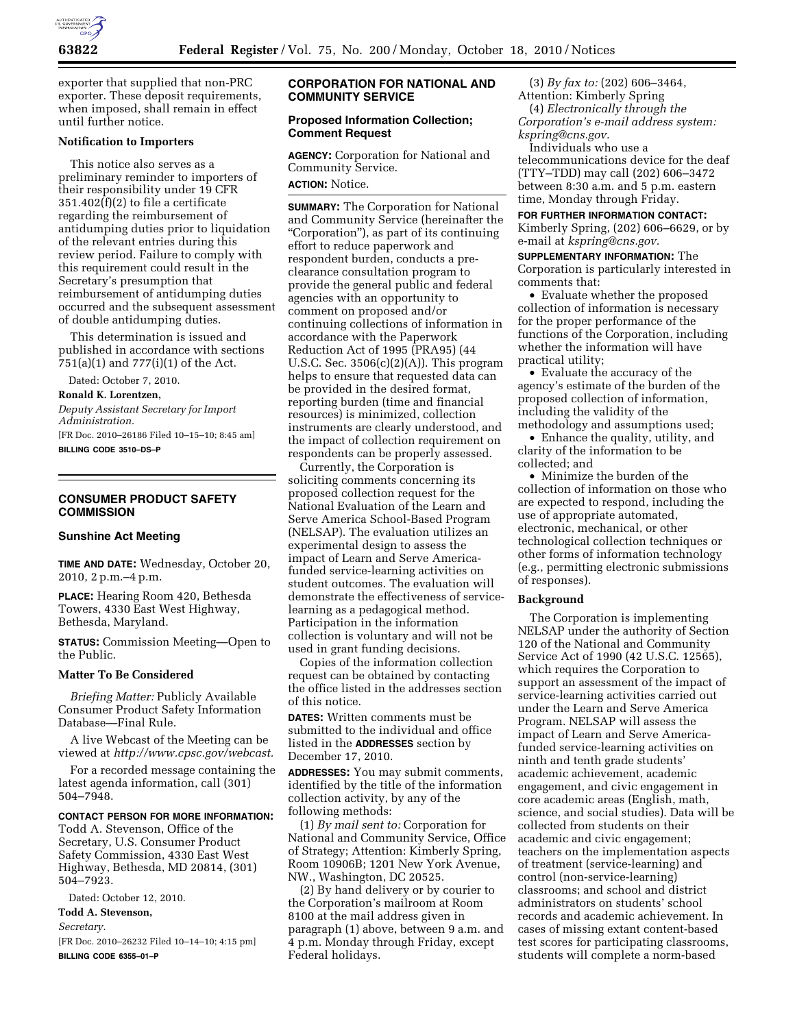

exporter that supplied that non-PRC exporter. These deposit requirements, when imposed, shall remain in effect until further notice.

#### **Notification to Importers**

This notice also serves as a preliminary reminder to importers of their responsibility under 19 CFR 351.402(f)(2) to file a certificate regarding the reimbursement of antidumping duties prior to liquidation of the relevant entries during this review period. Failure to comply with this requirement could result in the Secretary's presumption that reimbursement of antidumping duties occurred and the subsequent assessment of double antidumping duties.

This determination is issued and published in accordance with sections 751(a)(1) and 777(i)(1) of the Act.

Dated: October 7, 2010.

#### **Ronald K. Lorentzen,**

*Deputy Assistant Secretary for Import Administration.* 

[FR Doc. 2010–26186 Filed 10–15–10; 8:45 am] **BILLING CODE 3510–DS–P** 

## **CONSUMER PRODUCT SAFETY COMMISSION**

#### **Sunshine Act Meeting**

**TIME AND DATE:** Wednesday, October 20, 2010, 2 p.m.–4 p.m.

**PLACE:** Hearing Room 420, Bethesda Towers, 4330 East West Highway, Bethesda, Maryland.

**STATUS:** Commission Meeting—Open to the Public.

#### **Matter To Be Considered**

*Briefing Matter:* Publicly Available Consumer Product Safety Information Database—Final Rule.

A live Webcast of the Meeting can be viewed at *[http://www.cpsc.gov/webcast.](http://www.cpsc.gov/webcast)* 

For a recorded message containing the latest agenda information, call (301) 504–7948.

## **CONTACT PERSON FOR MORE INFORMATION:**

Todd A. Stevenson, Office of the Secretary, U.S. Consumer Product Safety Commission, 4330 East West Highway, Bethesda, MD 20814, (301) 504–7923.

Dated: October 12, 2010.

**Todd A. Stevenson,** 

*Secretary.* 

[FR Doc. 2010–26232 Filed 10–14–10; 4:15 pm] **BILLING CODE 6355–01–P** 

## **CORPORATION FOR NATIONAL AND COMMUNITY SERVICE**

## **Proposed Information Collection; Comment Request**

**AGENCY:** Corporation for National and Community Service. **ACTION:** Notice.

**SUMMARY:** The Corporation for National and Community Service (hereinafter the ''Corporation''), as part of its continuing effort to reduce paperwork and respondent burden, conducts a preclearance consultation program to provide the general public and federal agencies with an opportunity to comment on proposed and/or continuing collections of information in accordance with the Paperwork Reduction Act of 1995 (PRA95) (44 U.S.C. Sec. 3506(c)(2)(A)). This program helps to ensure that requested data can be provided in the desired format, reporting burden (time and financial resources) is minimized, collection instruments are clearly understood, and the impact of collection requirement on respondents can be properly assessed.

Currently, the Corporation is soliciting comments concerning its proposed collection request for the National Evaluation of the Learn and Serve America School-Based Program (NELSAP). The evaluation utilizes an experimental design to assess the impact of Learn and Serve Americafunded service-learning activities on student outcomes. The evaluation will demonstrate the effectiveness of servicelearning as a pedagogical method. Participation in the information collection is voluntary and will not be used in grant funding decisions.

Copies of the information collection request can be obtained by contacting the office listed in the addresses section of this notice.

**DATES:** Written comments must be submitted to the individual and office listed in the **ADDRESSES** section by December 17, 2010.

**ADDRESSES:** You may submit comments, identified by the title of the information collection activity, by any of the following methods:

(1) *By mail sent to:* Corporation for National and Community Service, Office of Strategy; Attention: Kimberly Spring, Room 10906B; 1201 New York Avenue, NW., Washington, DC 20525.

(2) By hand delivery or by courier to the Corporation's mailroom at Room 8100 at the mail address given in paragraph (1) above, between 9 a.m. and 4 p.m. Monday through Friday, except Federal holidays.

(3) *By fax to:* (202) 606–3464, Attention: Kimberly Spring

(4) *Electronically through the Corporation's e-mail address system: [kspring@cns.gov.](mailto:kspring@cns.gov)* 

Individuals who use a telecommunications device for the deaf (TTY–TDD) may call (202) 606–3472 between 8:30 a.m. and 5 p.m. eastern time, Monday through Friday.

**FOR FURTHER INFORMATION CONTACT:**  Kimberly Spring, (202) 606–6629, or by e-mail at *[kspring@cns.gov.](mailto:kspring@cns.gov)* 

**SUPPLEMENTARY INFORMATION:** The Corporation is particularly interested in comments that:

• Evaluate whether the proposed collection of information is necessary for the proper performance of the functions of the Corporation, including whether the information will have practical utility;

• Evaluate the accuracy of the agency's estimate of the burden of the proposed collection of information, including the validity of the methodology and assumptions used;

• Enhance the quality, utility, and clarity of the information to be collected; and

• Minimize the burden of the collection of information on those who are expected to respond, including the use of appropriate automated, electronic, mechanical, or other technological collection techniques or other forms of information technology (e.g., permitting electronic submissions of responses).

#### **Background**

The Corporation is implementing NELSAP under the authority of Section 120 of the National and Community Service Act of 1990 (42 U.S.C. 12565), which requires the Corporation to support an assessment of the impact of service-learning activities carried out under the Learn and Serve America Program. NELSAP will assess the impact of Learn and Serve Americafunded service-learning activities on ninth and tenth grade students' academic achievement, academic engagement, and civic engagement in core academic areas (English, math, science, and social studies). Data will be collected from students on their academic and civic engagement; teachers on the implementation aspects of treatment (service-learning) and control (non-service-learning) classrooms; and school and district administrators on students' school records and academic achievement. In cases of missing extant content-based test scores for participating classrooms, students will complete a norm-based